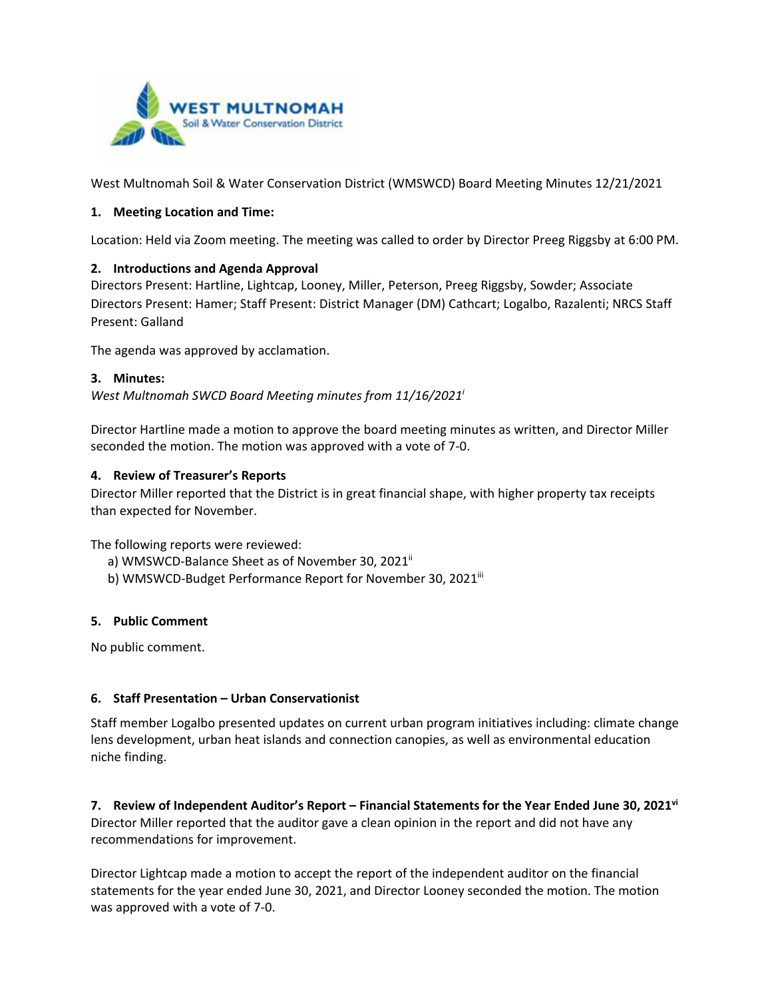

West Multnomah Soil & Water Conservation District (WMSWCD) Board Meeting Minutes 12/21/2021

### **1. Meeting Location and Time:**

Location: Held via Zoom meeting. The meeting was called to order by Director Preeg Riggsby at 6:00 PM.

### **2. Introductions and Agenda Approval**

Directors Present: Hartline, Lightcap, Looney, Miller, Peterson, Preeg Riggsby, Sowder; Associate Directors Present: Hamer; Staff Present: District Manager (DM) Cathcart; Logalbo, Razalenti; NRCS Staff Present: Galland

The agenda was approved by acclamation.

#### **3. Minutes:**

*West Multnomah SWCD Board Meeting minutes from 11/16/2021i*

Director Hartline made a motion to approve the board meeting minutes as written, and Director Miller seconded the motion. The motion was approved with a vote of 7-0.

#### **4. Review of Treasurer's Reports**

Director Miller reported that the District is in great financial shape, with higher property tax receipts than expected for November.

The following reports were reviewed:

- a) WMSWCD-Balance Sheet as of November 30, 2021<sup>ii</sup>
- b) WMSWCD-Budget Performance Report for November 30, 2021iii

#### **5. Public Comment**

No public comment.

### **6. Staff Presentation – Urban Conservationist**

Staff member Logalbo presented updates on current urban program initiatives including: climate change lens development, urban heat islands and connection canopies, as well as environmental education niche finding.

**7. Review of Independent Auditor's Report – Financial Statements for the Year Ended June 30, 2021vi** Director Miller reported that the auditor gave a clean opinion in the report and did not have any recommendations for improvement.

Director Lightcap made a motion to accept the report of the independent auditor on the financial statements for the year ended June 30, 2021, and Director Looney seconded the motion. The motion was approved with a vote of 7-0.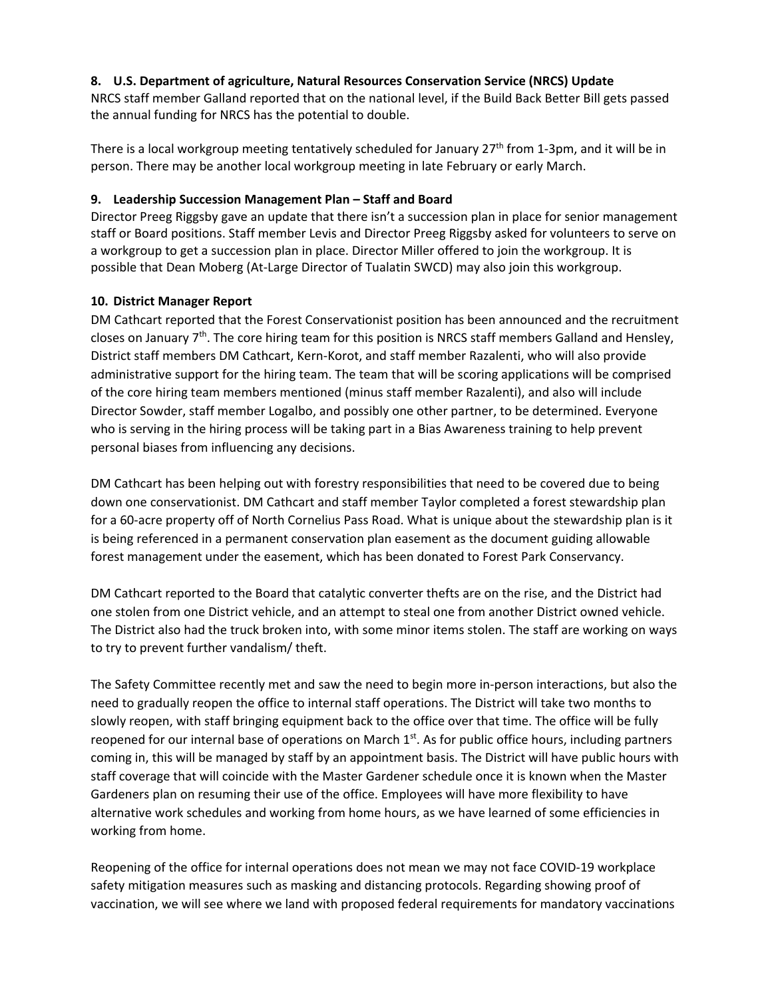## **8. U.S. Department of agriculture, Natural Resources Conservation Service (NRCS) Update**

NRCS staff member Galland reported that on the national level, if the Build Back Better Bill gets passed the annual funding for NRCS has the potential to double.

There is a local workgroup meeting tentatively scheduled for January  $27<sup>th</sup>$  from 1-3pm, and it will be in person. There may be another local workgroup meeting in late February or early March.

## **9. Leadership Succession Management Plan – Staff and Board**

Director Preeg Riggsby gave an update that there isn't a succession plan in place for senior management staff or Board positions. Staff member Levis and Director Preeg Riggsby asked for volunteers to serve on a workgroup to get a succession plan in place. Director Miller offered to join the workgroup. It is possible that Dean Moberg (At-Large Director of Tualatin SWCD) may also join this workgroup.

# **10. District Manager Report**

DM Cathcart reported that the Forest Conservationist position has been announced and the recruitment closes on January 7<sup>th</sup>. The core hiring team for this position is NRCS staff members Galland and Hensley, District staff members DM Cathcart, Kern-Korot, and staff member Razalenti, who will also provide administrative support for the hiring team. The team that will be scoring applications will be comprised of the core hiring team members mentioned (minus staff member Razalenti), and also will include Director Sowder, staff member Logalbo, and possibly one other partner, to be determined. Everyone who is serving in the hiring process will be taking part in a Bias Awareness training to help prevent personal biases from influencing any decisions.

DM Cathcart has been helping out with forestry responsibilities that need to be covered due to being down one conservationist. DM Cathcart and staff member Taylor completed a forest stewardship plan for a 60-acre property off of North Cornelius Pass Road. What is unique about the stewardship plan is it is being referenced in a permanent conservation plan easement as the document guiding allowable forest management under the easement, which has been donated to Forest Park Conservancy.

DM Cathcart reported to the Board that catalytic converter thefts are on the rise, and the District had one stolen from one District vehicle, and an attempt to steal one from another District owned vehicle. The District also had the truck broken into, with some minor items stolen. The staff are working on ways to try to prevent further vandalism/ theft.

The Safety Committee recently met and saw the need to begin more in-person interactions, but also the need to gradually reopen the office to internal staff operations. The District will take two months to slowly reopen, with staff bringing equipment back to the office over that time. The office will be fully reopened for our internal base of operations on March  $1<sup>st</sup>$ . As for public office hours, including partners coming in, this will be managed by staff by an appointment basis. The District will have public hours with staff coverage that will coincide with the Master Gardener schedule once it is known when the Master Gardeners plan on resuming their use of the office. Employees will have more flexibility to have alternative work schedules and working from home hours, as we have learned of some efficiencies in working from home.

Reopening of the office for internal operations does not mean we may not face COVID-19 workplace safety mitigation measures such as masking and distancing protocols. Regarding showing proof of vaccination, we will see where we land with proposed federal requirements for mandatory vaccinations